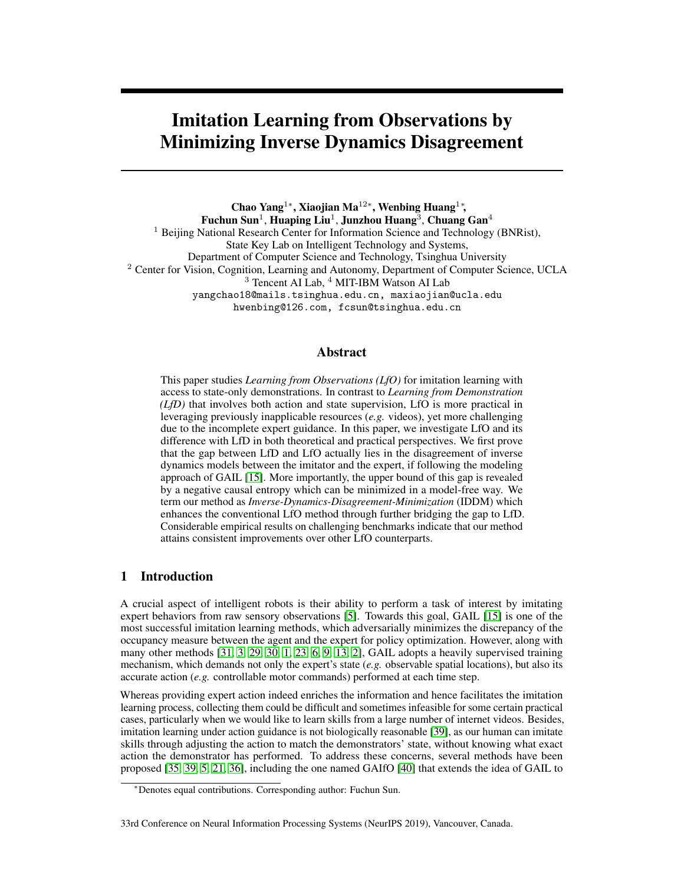# Imitation Learning from Observations by Minimizing Inverse Dynamics Disagreement

Chao Yang<sup>1</sup>\*, Xiaojian Ma<sup>12</sup>\*, Wenbing Huang<sup>1</sup>\*, Fuchun Sun $^1$ , Huaping Liu $^1$ , Junzhou Huang $^3$ , Chuang Gan $^4$ <sup>1</sup> Beijing National Research Center for Information Science and Technology (BNRist), State Key Lab on Intelligent Technology and Systems, Department of Computer Science and Technology, Tsinghua University <sup>2</sup> Center for Vision, Cognition, Learning and Autonomy, Department of Computer Science, UCLA <sup>3</sup> Tencent AI Lab, <sup>4</sup> MIT-IBM Watson AI Lab yangchao18@mails.tsinghua.edu.cn, maxiaojian@ucla.edu hwenbing@126.com, fcsun@tsinghua.edu.cn

## Abstract

This paper studies *Learning from Observations (LfO)* for imitation learning with access to state-only demonstrations. In contrast to *Learning from Demonstration (LfD)* that involves both action and state supervision, LfO is more practical in leveraging previously inapplicable resources (*e.g.* videos), yet more challenging due to the incomplete expert guidance. In this paper, we investigate LfO and its difference with LfD in both theoretical and practical perspectives. We first prove that the gap between LfD and LfO actually lies in the disagreement of inverse dynamics models between the imitator and the expert, if following the modeling approach of GAIL [15]. More importantly, the upper bound of this gap is revealed by a negative causal entropy which can be minimized in a model-free way. We term our method as *Inverse-Dynamics-Disagreement-Minimization* (IDDM) which enhances the conventional LfO method through further bridging the gap to LfD. Considerable empirical results on challenging benchmarks indicate that our method attains consistent improvements over other LfO counterparts.

## 1 Introduction

A crucial aspect of intelligent robots is their ability to perform a task of interest by imitating expert behaviors from raw sensory observations [5]. Towards this goal, GAIL [15] is one of the most successful imitation learning methods, which adversarially minimizes the discrepancy of the occupancy measure between the agent and the expert for policy optimization. However, along with many other methods [31, 3, 29, 30, 1, 23, 6, 9, 13, 2], GAIL adopts a heavily supervised training mechanism, which demands not only the expert's state (*e.g.* observable spatial locations), but also its accurate action (*e.g.* controllable motor commands) performed at each time step.

Whereas providing expert action indeed enriches the information and hence facilitates the imitation learning process, collecting them could be difficult and sometimes infeasible for some certain practical cases, particularly when we would like to learn skills from a large number of internet videos. Besides, imitation learning under action guidance is not biologically reasonable [39], as our human can imitate skills through adjusting the action to match the demonstrators' state, without knowing what exact action the demonstrator has performed. To address these concerns, several methods have been proposed [35, 39, 5, 21, 36], including the one named GAIfO [40] that extends the idea of GAIL to

<sup>∗</sup>Denotes equal contributions. Corresponding author: Fuchun Sun.

<sup>33</sup>rd Conference on Neural Information Processing Systems (NeurIPS 2019), Vancouver, Canada.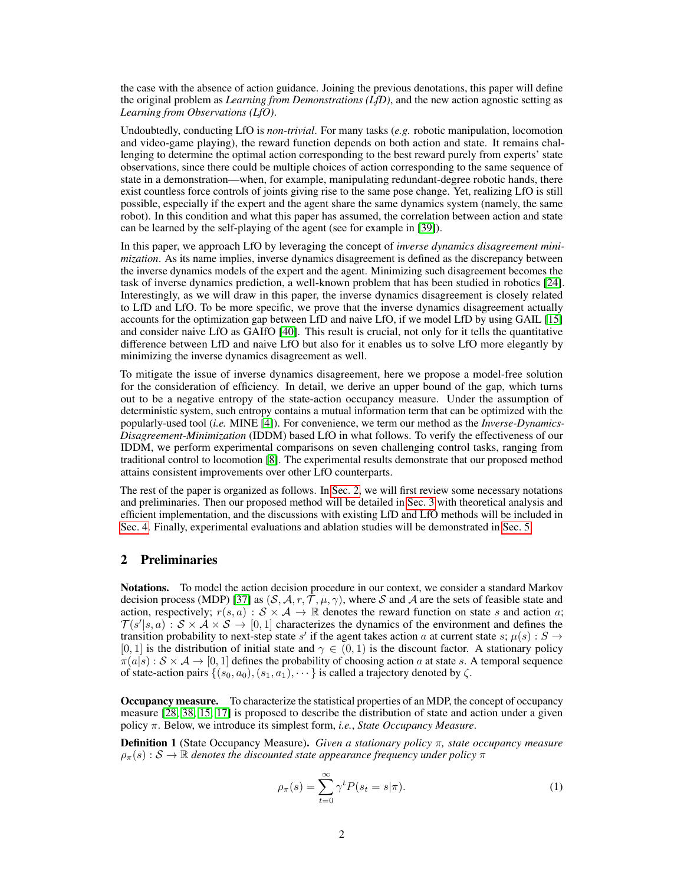the case with the absence of action guidance. Joining the previous denotations, this paper will define the original problem as *Learning from Demonstrations (LfD)*, and the new action agnostic setting as *Learning from Observations (LfO)*.

Undoubtedly, conducting LfO is *non-trivial*. For many tasks (*e.g.* robotic manipulation, locomotion and video-game playing), the reward function depends on both action and state. It remains challenging to determine the optimal action corresponding to the best reward purely from experts' state observations, since there could be multiple choices of action corresponding to the same sequence of state in a demonstration—when, for example, manipulating redundant-degree robotic hands, there exist countless force controls of joints giving rise to the same pose change. Yet, realizing LfO is still possible, especially if the expert and the agent share the same dynamics system (namely, the same robot). In this condition and what this paper has assumed, the correlation between action and state can be learned by the self-playing of the agent (see for example in [39]).

In this paper, we approach LfO by leveraging the concept of *inverse dynamics disagreement minimization*. As its name implies, inverse dynamics disagreement is defined as the discrepancy between the inverse dynamics models of the expert and the agent. Minimizing such disagreement becomes the task of inverse dynamics prediction, a well-known problem that has been studied in robotics [24]. Interestingly, as we will draw in this paper, the inverse dynamics disagreement is closely related to LfD and LfO. To be more specific, we prove that the inverse dynamics disagreement actually accounts for the optimization gap between LfD and naive LfO, if we model LfD by using GAIL [15] and consider naive LfO as GAIfO [40]. This result is crucial, not only for it tells the quantitative difference between LfD and naive LfO but also for it enables us to solve LfO more elegantly by minimizing the inverse dynamics disagreement as well.

To mitigate the issue of inverse dynamics disagreement, here we propose a model-free solution for the consideration of efficiency. In detail, we derive an upper bound of the gap, which turns out to be a negative entropy of the state-action occupancy measure. Under the assumption of deterministic system, such entropy contains a mutual information term that can be optimized with the popularly-used tool (*i.e.* MINE [4]). For convenience, we term our method as the *Inverse-Dynamics-Disagreement-Minimization* (IDDM) based LfO in what follows. To verify the effectiveness of our IDDM, we perform experimental comparisons on seven challenging control tasks, ranging from traditional control to locomotion [8]. The experimental results demonstrate that our proposed method attains consistent improvements over other LfO counterparts.

The rest of the paper is organized as follows. In Sec. 2, we will first review some necessary notations and preliminaries. Then our proposed method will be detailed in Sec. 3 with theoretical analysis and efficient implementation, and the discussions with existing LfD and LfO methods will be included in Sec. 4. Finally, experimental evaluations and ablation studies will be demonstrated in Sec. 5.

## 2 Preliminaries

Notations. To model the action decision procedure in our context, we consider a standard Markov decision process (MDP) [37] as  $(S, A, r, T, \mu, \gamma)$ , where S and A are the sets of feasible state and action, respectively;  $r(s, a) : S \times A \rightarrow \mathbb{R}$  denotes the reward function on state s and action a;  $\mathcal{T}(s'|s, a): \mathcal{S} \times \mathcal{A} \times \mathcal{S} \rightarrow [0, 1]$  characterizes the dynamics of the environment and defines the transition probability to next-step state s' if the agent takes action a at current state s;  $\mu(s) : S \to$ [0, 1] is the distribution of initial state and  $\gamma \in (0,1)$  is the discount factor. A stationary policy  $\pi(a|s) : S \times A \rightarrow [0, 1]$  defines the probability of choosing action a at state s. A temporal sequence of state-action pairs  $\{(s_0, a_0), (s_1, a_1), \cdots\}$  is called a trajectory denoted by  $\zeta$ .

Occupancy measure. To characterize the statistical properties of an MDP, the concept of occupancy measure [28, 38, 15, 17] is proposed to describe the distribution of state and action under a given policy π. Below, we introduce its simplest form, *i.e.*, *State Occupancy Measure*.

Definition 1 (State Occupancy Measure). *Given a stationary policy* π*, state occupancy measure*  $\rho_{\pi}(s): \mathcal{S} \to \mathbb{R}$  *denotes the discounted state appearance frequency under policy*  $\pi$ 

$$
\rho_{\pi}(s) = \sum_{t=0}^{\infty} \gamma^t P(s_t = s | \pi). \tag{1}
$$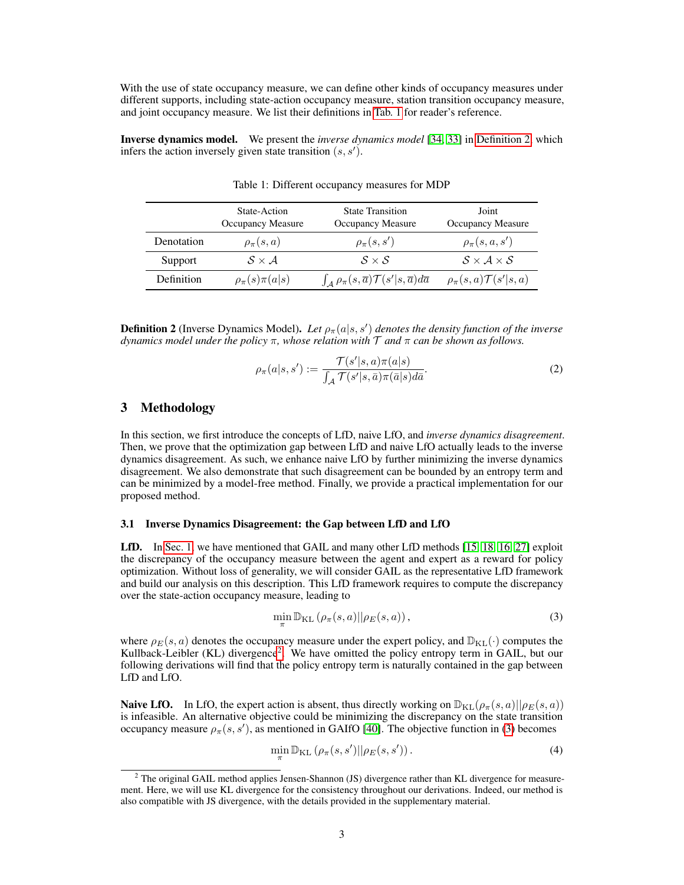With the use of state occupancy measure, we can define other kinds of occupancy measures under different supports, including state-action occupancy measure, station transition occupancy measure, and joint occupancy measure. We list their definitions in Tab. 1 for reader's reference.

Inverse dynamics model. We present the *inverse dynamics model* [34, 33] in Definition 2, which infers the action inversely given state transition  $(s, s')$ .

|            | State-Action<br><b>Occupancy Measure</b> | <b>State Transition</b><br>Occupancy Measure                                   | Joint<br>Occupancy Measure           |
|------------|------------------------------------------|--------------------------------------------------------------------------------|--------------------------------------|
| Denotation | $\rho_{\pi}(s,a)$                        | $\rho_{\pi}(s, s')$                                                            | $\rho_{\pi}(s, a, s')$               |
| Support    | $S \times A$                             | $S \times S$                                                                   | $S \times A \times S$                |
| Definition | $\rho_{\pi}(s)\pi(a s)$                  | $\int_A \rho_\pi(s,\overline{a}) \mathcal{T}(s' s,\overline{a}) d\overline{a}$ | $\rho_{\pi}(s,a)\mathcal{T}(s' s,a)$ |

Table 1: Different occupancy measures for MDP

**Definition 2** (Inverse Dynamics Model). Let  $\rho_{\pi}(a|s,s')$  denotes the density function of the inverse *dynamics model under the policy* π*, whose relation with* T *and* π *can be shown as follows.*

$$
\rho_{\pi}(a|s,s') := \frac{\mathcal{T}(s'|s,a)\pi(a|s)}{\int_{\mathcal{A}} \mathcal{T}(s'|s,\bar{a})\pi(\bar{a}|s)d\bar{a}}.\tag{2}
$$

## 3 Methodology

In this section, we first introduce the concepts of LfD, naive LfO, and *inverse dynamics disagreement*. Then, we prove that the optimization gap between LfD and naive LfO actually leads to the inverse dynamics disagreement. As such, we enhance naive LfO by further minimizing the inverse dynamics disagreement. We also demonstrate that such disagreement can be bounded by an entropy term and can be minimized by a model-free method. Finally, we provide a practical implementation for our proposed method.

#### 3.1 Inverse Dynamics Disagreement: the Gap between LfD and LfO

LfD. In Sec. 1, we have mentioned that GAIL and many other LfD methods [15, 18, 16, 27] exploit the discrepancy of the occupancy measure between the agent and expert as a reward for policy optimization. Without loss of generality, we will consider GAIL as the representative LfD framework and build our analysis on this description. This LfD framework requires to compute the discrepancy over the state-action occupancy measure, leading to

$$
\min_{\pi} \mathbb{D}_{\text{KL}}\left(\rho_{\pi}(s, a) || \rho_{E}(s, a)\right),\tag{3}
$$

where  $\rho_E(s, a)$  denotes the occupancy measure under the expert policy, and  $\mathbb{D}_{KL}(\cdot)$  computes the Kullback-Leibler (KL) divergence<sup>2</sup>. We have omitted the policy entropy term in GAIL, but our following derivations will find that the policy entropy term is naturally contained in the gap between LfD and LfO.

**Naive LfO.** In LfO, the expert action is absent, thus directly working on  $\mathbb{D}_{KL}(\rho_{\pi}(s, a)||\rho_{E}(s, a))$ is infeasible. An alternative objective could be minimizing the discrepancy on the state transition occupancy measure  $\rho_{\pi}(s, s')$ , as mentioned in GAIfO [40]. The objective function in (3) becomes

$$
\min_{\pi} \mathbb{D}_{\text{KL}}\left(\rho_{\pi}(s, s')|| \rho_E(s, s')\right). \tag{4}
$$

<sup>&</sup>lt;sup>2</sup> The original GAIL method applies Jensen-Shannon (JS) divergence rather than KL divergence for measurement. Here, we will use KL divergence for the consistency throughout our derivations. Indeed, our method is also compatible with JS divergence, with the details provided in the supplementary material.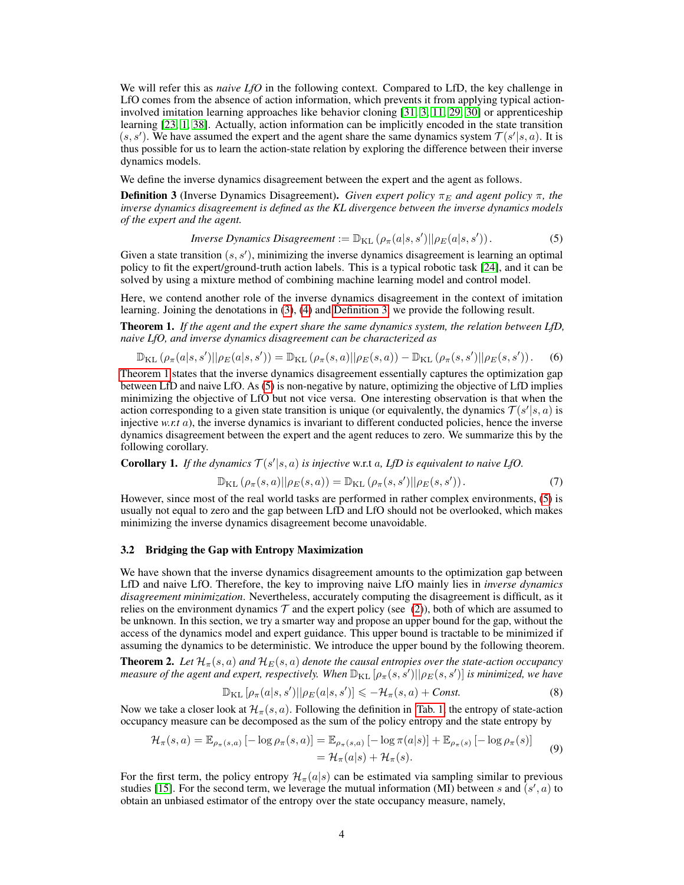We will refer this as *naive LfO* in the following context. Compared to LfD, the key challenge in LfO comes from the absence of action information, which prevents it from applying typical actioninvolved imitation learning approaches like behavior cloning [31, 3, 11, 29, 30] or apprenticeship learning [23, 1, 38]. Actually, action information can be implicitly encoded in the state transition  $(s, s')$ . We have assumed the expert and the agent share the same dynamics system  $\mathcal{T}(s'|s, a)$ . It is thus possible for us to learn the action-state relation by exploring the difference between their inverse dynamics models.

We define the inverse dynamics disagreement between the expert and the agent as follows.

**Definition 3** (Inverse Dynamics Disagreement). *Given expert policy*  $\pi_E$  *and agent policy*  $\pi$ *, the inverse dynamics disagreement is defined as the KL divergence between the inverse dynamics models of the expert and the agent.*

*Inverse Dynamics Disagreement* := 
$$
\mathbb{D}_{KL}(\rho_{\pi}(a|s,s')||\rho_{E}(a|s,s'))
$$
. (5)

Given a state transition  $(s, s')$ , minimizing the inverse dynamics disagreement is learning an optimal policy to fit the expert/ground-truth action labels. This is a typical robotic task [24], and it can be solved by using a mixture method of combining machine learning model and control model.

Here, we contend another role of the inverse dynamics disagreement in the context of imitation learning. Joining the denotations in (3), (4) and Definition 3, we provide the following result.

Theorem 1. *If the agent and the expert share the same dynamics system, the relation between LfD, naive LfO, and inverse dynamics disagreement can be characterized as*

$$
\mathbb{D}_{\text{KL}}\left(\rho_{\pi}(a|s,s')||\rho_{E}(a|s,s')\right) = \mathbb{D}_{\text{KL}}\left(\rho_{\pi}(s,a)||\rho_{E}(s,a)\right) - \mathbb{D}_{\text{KL}}\left(\rho_{\pi}(s,s')||\rho_{E}(s,s')\right). \tag{6}
$$

Theorem 1 states that the inverse dynamics disagreement essentially captures the optimization gap between LfD and naive LfO. As (5) is non-negative by nature, optimizing the objective of LfD implies minimizing the objective of LfO but not vice versa. One interesting observation is that when the action corresponding to a given state transition is unique (or equivalently, the dynamics  $\mathcal{T}(s'|s, a)$  is injective *w.r.t* a), the inverse dynamics is invariant to different conducted policies, hence the inverse dynamics disagreement between the expert and the agent reduces to zero. We summarize this by the following corollary.

**Corollary 1.** If the dynamics  $T(s'|s, a)$  is injective w.r.t a, LfD is equivalent to naive LfO.

$$
\mathbb{D}_{\mathrm{KL}}\left(\rho_{\pi}(s,a)||\rho_{E}(s,a)\right) = \mathbb{D}_{\mathrm{KL}}\left(\rho_{\pi}(s,s')||\rho_{E}(s,s')\right). \tag{7}
$$

However, since most of the real world tasks are performed in rather complex environments, (5) is usually not equal to zero and the gap between LfD and LfO should not be overlooked, which makes minimizing the inverse dynamics disagreement become unavoidable.

#### 3.2 Bridging the Gap with Entropy Maximization

We have shown that the inverse dynamics disagreement amounts to the optimization gap between LfD and naive LfO. Therefore, the key to improving naive LfO mainly lies in *inverse dynamics disagreement minimization*. Nevertheless, accurately computing the disagreement is difficult, as it relies on the environment dynamics  $\mathcal T$  and the expert policy (see (2)), both of which are assumed to be unknown. In this section, we try a smarter way and propose an upper bound for the gap, without the access of the dynamics model and expert guidance. This upper bound is tractable to be minimized if assuming the dynamics to be deterministic. We introduce the upper bound by the following theorem.

**Theorem 2.** Let  $\mathcal{H}_{\pi}(s, a)$  and  $\mathcal{H}_{E}(s, a)$  denote the causal entropies over the state-action occupancy measure of the agent and expert, respectively. When  $\mathbb{D}_{\rm KL}[\rho_\pi(s,s')||\rho_E(s,s')]$  is minimized, we have

$$
\mathbb{D}_{\text{KL}}\left[\rho_{\pi}(a|s,s')||\rho_{E}(a|s,s')\right] \leq -\mathcal{H}_{\pi}(s,a) + \text{Const.} \tag{8}
$$

Now we take a closer look at  $\mathcal{H}_{\pi}(s, a)$ . Following the definition in Tab. 1, the entropy of state-action occupancy measure can be decomposed as the sum of the policy entropy and the state entropy by

$$
\mathcal{H}_{\pi}(s,a) = \mathbb{E}_{\rho_{\pi}(s,a)}\left[-\log \rho_{\pi}(s,a)\right] = \mathbb{E}_{\rho_{\pi}(s,a)}\left[-\log \pi(a|s)\right] + \mathbb{E}_{\rho_{\pi}(s)}\left[-\log \rho_{\pi}(s)\right] \n= \mathcal{H}_{\pi}(a|s) + \mathcal{H}_{\pi}(s).
$$
\n(9)

For the first term, the policy entropy  $\mathcal{H}_{\pi}(a|s)$  can be estimated via sampling similar to previous studies [15]. For the second term, we leverage the mutual information (MI) between s and  $(s', a)$  to obtain an unbiased estimator of the entropy over the state occupancy measure, namely,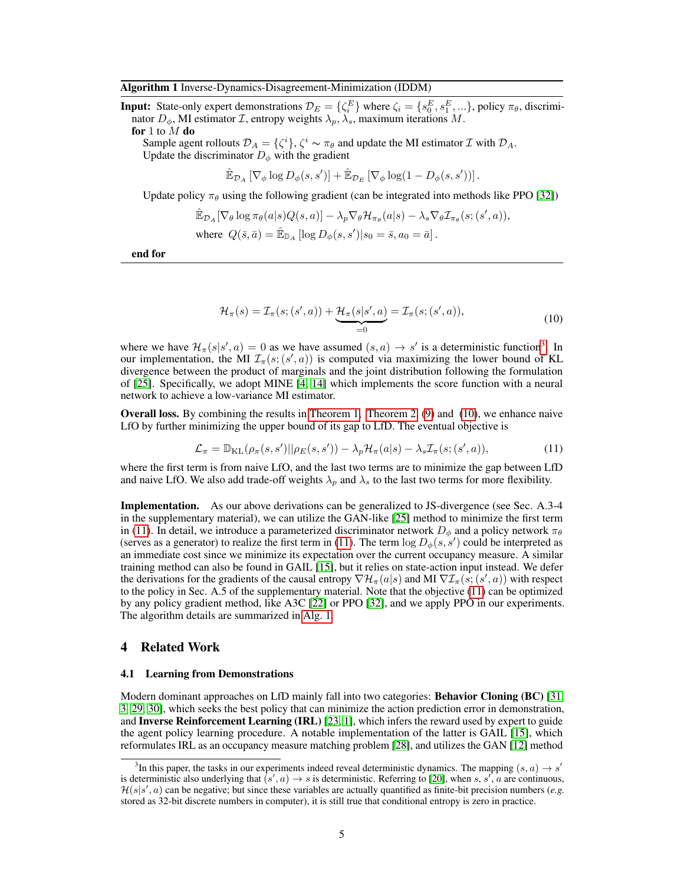#### Algorithm 1 Inverse-Dynamics-Disagreement-Minimization (IDDM)

**Input:** State-only expert demonstrations  $\mathcal{D}_E = \{\zeta_i^E\}$  where  $\zeta_i = \{s_0^E, s_1^E, ...\}$ , policy  $\pi_\theta$ , discriminator  $D_{\phi}$ , MI estimator *I*, entropy weights  $\lambda_p, \lambda_s$ , maximum iterations *M*.

for 1 to  $M$  do

Sample agent rollouts  $\mathcal{D}_A = \{\zeta^i\}, \zeta^i \sim \pi_\theta$  and update the MI estimator  $\mathcal I$  with  $\mathcal D_A$ . Update the discriminator  $D_{\phi}$  with the gradient

$$
\mathbb{\hat{E}}_{\mathcal{D}_A} \left[ \nabla_{\phi} \log D_{\phi}(s, s') \right] + \mathbb{\hat{E}}_{\mathcal{D}_E} \left[ \nabla_{\phi} \log (1 - D_{\phi}(s, s')) \right].
$$

Update policy  $\pi_{\theta}$  using the following gradient (can be integrated into methods like PPO [32])

$$
\hat{\mathbb{E}}_{\mathcal{D}_A} [\nabla_{\theta} \log \pi_{\theta}(a|s) Q(s, a)] - \lambda_p \nabla_{\theta} \mathcal{H}_{\pi_{\theta}}(a|s) - \lambda_s \nabla_{\theta} \mathcal{I}_{\pi_{\theta}}(s; (s', a)),
$$
  
where  $Q(\bar{s}, \bar{a}) = \hat{\mathbb{E}}_{\mathbb{D}_A} [\log D_{\phi}(s, s') | s_0 = \bar{s}, a_0 = \bar{a}].$ 

end for

$$
\mathcal{H}_{\pi}(s) = \mathcal{I}_{\pi}(s; (s', a)) + \underbrace{\mathcal{H}_{\pi}(s|s', a)}_{=0} = \mathcal{I}_{\pi}(s; (s', a)),\tag{10}
$$

where we have  $\mathcal{H}_{\pi}(s|s',a) = 0$  as we have assumed  $(s,a) \to s'$  is a deterministic function<sup>3</sup>. In our implementation, the MI  $\mathcal{I}_{\pi}(s;(s',a))$  is computed via maximizing the lower bound of KL divergence between the product of marginals and the joint distribution following the formulation of [25]. Specifically, we adopt MINE [4, 14] which implements the score function with a neural network to achieve a low-variance MI estimator.

Overall loss. By combining the results in Theorem 1, Theorem 2, (9) and (10), we enhance naive LfO by further minimizing the upper bound of its gap to LfD. The eventual objective is

$$
\mathcal{L}_{\pi} = \mathbb{D}_{\mathrm{KL}}(\rho_{\pi}(s, s')||\rho_{E}(s, s')) - \lambda_{p} \mathcal{H}_{\pi}(a|s) - \lambda_{s} \mathcal{I}_{\pi}(s; (s', a)), \tag{11}
$$

where the first term is from naive LfO, and the last two terms are to minimize the gap between LfD and naive LfO. We also add trade-off weights  $\lambda_p$  and  $\lambda_s$  to the last two terms for more flexibility.

Implementation. As our above derivations can be generalized to JS-divergence (see Sec. A.3-4 in the supplementary material), we can utilize the GAN-like [25] method to minimize the first term in (11). In detail, we introduce a parameterized discriminator network  $D_{\phi}$  and a policy network  $\pi_{\theta}$ (serves as a generator) to realize the first term in (11). The term  $\log D_{\phi}(s, s')$  could be interpreted as an immediate cost since we minimize its expectation over the current occupancy measure. A similar training method can also be found in GAIL [15], but it relies on state-action input instead. We defer the derivations for the gradients of the causal entropy  $\nabla \mathcal{H}_\pi(a|s)$  and MI  $\nabla \mathcal{I}_\pi(s;(s',a))$  with respect to the policy in Sec. A.5 of the supplementary material. Note that the objective (11) can be optimized by any policy gradient method, like A3C [22] or PPO [32], and we apply PPO in our experiments. The algorithm details are summarized in Alg. 1.

#### 4 Related Work

#### 4.1 Learning from Demonstrations

Modern dominant approaches on LfD mainly fall into two categories: Behavior Cloning (BC) [31, 3, 29, 30], which seeks the best policy that can minimize the action prediction error in demonstration, and **Inverse Reinforcement Learning (IRL)** [23, 1], which infers the reward used by expert to guide the agent policy learning procedure. A notable implementation of the latter is GAIL [15], which reformulates IRL as an occupancy measure matching problem [28], and utilizes the GAN [12] method

<sup>&</sup>lt;sup>3</sup>In this paper, the tasks in our experiments indeed reveal deterministic dynamics. The mapping  $(s, a) \rightarrow s'$ is deterministic also underlying that  $(s', a) \to s$  is deterministic. Referring to [20], when s, s', a are continuous,  $\mathcal{H}(s|s',a)$  can be negative; but since these variables are actually quantified as finite-bit precision numbers (e.g. stored as 32-bit discrete numbers in computer), it is still true that conditional entropy is zero in practice.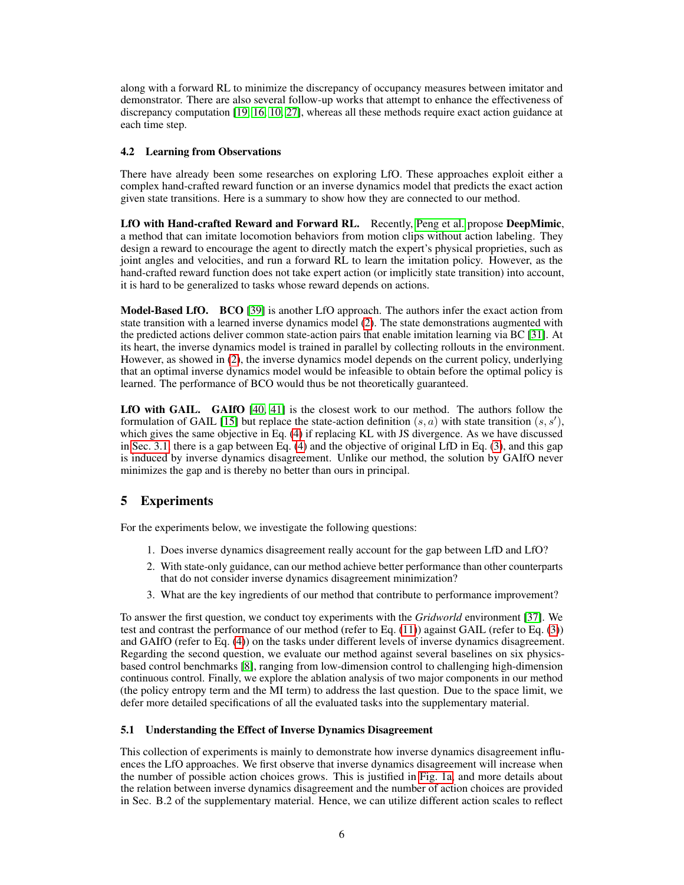along with a forward RL to minimize the discrepancy of occupancy measures between imitator and demonstrator. There are also several follow-up works that attempt to enhance the effectiveness of discrepancy computation [19, 16, 10, 27], whereas all these methods require exact action guidance at each time step.

## 4.2 Learning from Observations

There have already been some researches on exploring LfO. These approaches exploit either a complex hand-crafted reward function or an inverse dynamics model that predicts the exact action given state transitions. Here is a summary to show how they are connected to our method.

LfO with Hand-crafted Reward and Forward RL. Recently, Peng et al. propose DeepMimic, a method that can imitate locomotion behaviors from motion clips without action labeling. They design a reward to encourage the agent to directly match the expert's physical proprieties, such as joint angles and velocities, and run a forward RL to learn the imitation policy. However, as the hand-crafted reward function does not take expert action (or implicitly state transition) into account, it is hard to be generalized to tasks whose reward depends on actions.

Model-Based LfO. BCO [39] is another LfO approach. The authors infer the exact action from state transition with a learned inverse dynamics model (2). The state demonstrations augmented with the predicted actions deliver common state-action pairs that enable imitation learning via BC [31]. At its heart, the inverse dynamics model is trained in parallel by collecting rollouts in the environment. However, as showed in (2), the inverse dynamics model depends on the current policy, underlying that an optimal inverse dynamics model would be infeasible to obtain before the optimal policy is learned. The performance of BCO would thus be not theoretically guaranteed.

LfO with GAIL. GAIfO [40, 41] is the closest work to our method. The authors follow the formulation of GAIL [15] but replace the state-action definition  $(s, a)$  with state transition  $(s, s')$ , which gives the same objective in Eq. (4) if replacing KL with JS divergence. As we have discussed in Sec. 3.1, there is a gap between Eq. (4) and the objective of original LfD in Eq. (3), and this gap is induced by inverse dynamics disagreement. Unlike our method, the solution by GAIfO never minimizes the gap and is thereby no better than ours in principal.

## 5 Experiments

For the experiments below, we investigate the following questions:

- 1. Does inverse dynamics disagreement really account for the gap between LfD and LfO?
- 2. With state-only guidance, can our method achieve better performance than other counterparts that do not consider inverse dynamics disagreement minimization?
- 3. What are the key ingredients of our method that contribute to performance improvement?

To answer the first question, we conduct toy experiments with the *Gridworld* environment [37]. We test and contrast the performance of our method (refer to Eq. (11)) against GAIL (refer to Eq. (3)) and GAIfO (refer to Eq. (4)) on the tasks under different levels of inverse dynamics disagreement. Regarding the second question, we evaluate our method against several baselines on six physicsbased control benchmarks [8], ranging from low-dimension control to challenging high-dimension continuous control. Finally, we explore the ablation analysis of two major components in our method (the policy entropy term and the MI term) to address the last question. Due to the space limit, we defer more detailed specifications of all the evaluated tasks into the supplementary material.

## 5.1 Understanding the Effect of Inverse Dynamics Disagreement

This collection of experiments is mainly to demonstrate how inverse dynamics disagreement influences the LfO approaches. We first observe that inverse dynamics disagreement will increase when the number of possible action choices grows. This is justified in Fig. 1a, and more details about the relation between inverse dynamics disagreement and the number of action choices are provided in Sec. B.2 of the supplementary material. Hence, we can utilize different action scales to reflect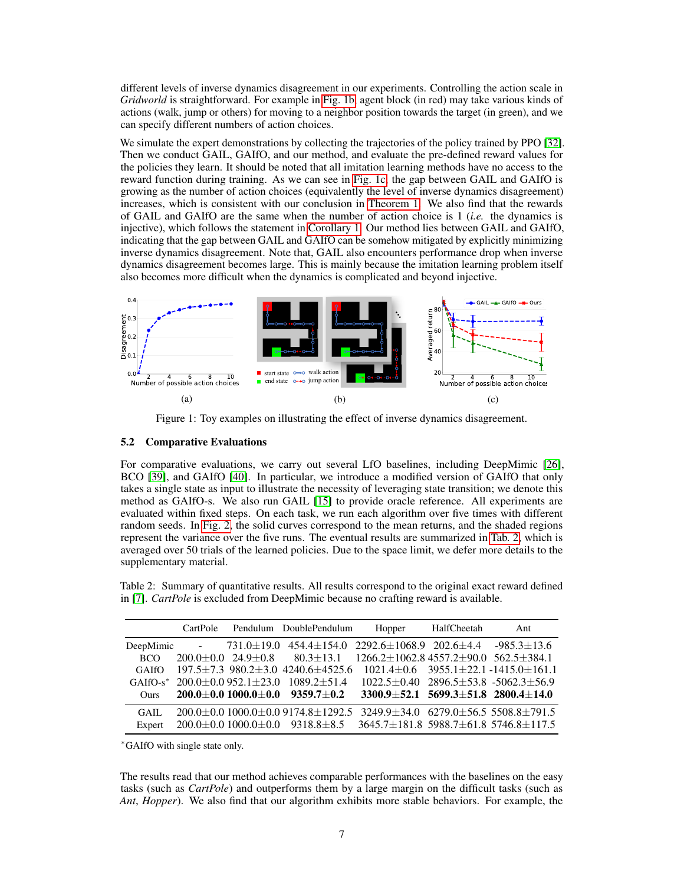different levels of inverse dynamics disagreement in our experiments. Controlling the action scale in *Gridworld* is straightforward. For example in Fig. 1b, agent block (in red) may take various kinds of actions (walk, jump or others) for moving to a neighbor position towards the target (in green), and we can specify different numbers of action choices.

We simulate the expert demonstrations by collecting the trajectories of the policy trained by PPO [32]. Then we conduct GAIL, GAIfO, and our method, and evaluate the pre-defined reward values for the policies they learn. It should be noted that all imitation learning methods have no access to the reward function during training. As we can see in Fig. 1c, the gap between GAIL and GAIfO is growing as the number of action choices (equivalently the level of inverse dynamics disagreement) increases, which is consistent with our conclusion in Theorem 1. We also find that the rewards of GAIL and GAIfO are the same when the number of action choice is 1 (*i.e.* the dynamics is injective), which follows the statement in Corollary 1. Our method lies between GAIL and GAIfO, indicating that the gap between GAIL and GAIfO can be somehow mitigated by explicitly minimizing inverse dynamics disagreement. Note that, GAIL also encounters performance drop when inverse dynamics disagreement becomes large. This is mainly because the imitation learning problem itself also becomes more difficult when the dynamics is complicated and beyond injective.



Figure 1: Toy examples on illustrating the effect of inverse dynamics disagreement.

## 5.2 Comparative Evaluations

For comparative evaluations, we carry out several LfO baselines, including DeepMimic [26], BCO [39], and GAIfO [40]. In particular, we introduce a modified version of GAIfO that only takes a single state as input to illustrate the necessity of leveraging state transition; we denote this method as GAIfO-s. We also run GAIL [15] to provide oracle reference. All experiments are evaluated within fixed steps. On each task, we run each algorithm over five times with different random seeds. In Fig. 2, the solid curves correspond to the mean returns, and the shaded regions represent the variance over the five runs. The eventual results are summarized in Tab. 2, which is averaged over 50 trials of the learned policies. Due to the space limit, we defer more details to the supplementary material.

Table 2: Summary of quantitative results. All results correspond to the original exact reward defined in [7]. *CartPole* is excluded from DeepMimic because no crafting reward is available.

|             | CartPole |                                    | Pendulum DoublePendulum                                                                     | Hopper                                                                  | HalfCheetah | Ant                                                    |
|-------------|----------|------------------------------------|---------------------------------------------------------------------------------------------|-------------------------------------------------------------------------|-------------|--------------------------------------------------------|
|             |          | DeepMimic $-731.0 \pm 19.0$        |                                                                                             | $454.4 \pm 154.0$ $2292.6 \pm 1068.9$ $202.6 \pm 4.4$ $-985.3 \pm 13.6$ |             |                                                        |
| BCO.        |          | $200.0 \pm 0.0$ 24.9 $\pm 0.8$     | $80.3 \pm 13.1$                                                                             | $1266.2 \pm 1062.8$ 4557.2 $\pm$ 90.0 562.5 $\pm$ 384.1                 |             |                                                        |
| GAIfO       |          |                                    | $197.5 \pm 7.3$ 980.2 $\pm$ 3.0 4240.6 $\pm$ 4525.6                                         |                                                                         |             | $1021.4 \pm 0.6$ 3955.1 $\pm$ 22.1 -1415.0 $\pm$ 161.1 |
|             |          | GAIfO-s* $200.0\pm0.0952.1\pm23.0$ | $1089.2 + 51.4$                                                                             |                                                                         |             | $1022.5 \pm 0.40$ 2896.5 $\pm$ 53.8 -5062.3 $\pm$ 56.9 |
| <b>Ours</b> |          |                                    | $200.0 \pm 0.0$ $1000.0 \pm 0.0$ $9359.7 \pm 0.2$                                           | $3300.9 \pm 52.1$ 5699.3 $\pm 51.8$ 2800.4 $\pm 14.0$                   |             |                                                        |
| GATL        |          |                                    | $200.0 \pm 0.01000.0 \pm 0.09174.8 \pm 1292.53249.9 \pm 34.06279.0 \pm 56.5508.8 \pm 791.5$ |                                                                         |             |                                                        |
| Expert      |          |                                    | $200.0 \pm 0.01000.0 \pm 0.09318.8 \pm 8.533645.7 \pm 181.85988.7 \pm 61.85746.8 \pm 117.5$ |                                                                         |             |                                                        |

<sup>∗</sup>GAIfO with single state only.

The results read that our method achieves comparable performances with the baselines on the easy tasks (such as *CartPole*) and outperforms them by a large margin on the difficult tasks (such as *Ant*, *Hopper*). We also find that our algorithm exhibits more stable behaviors. For example, the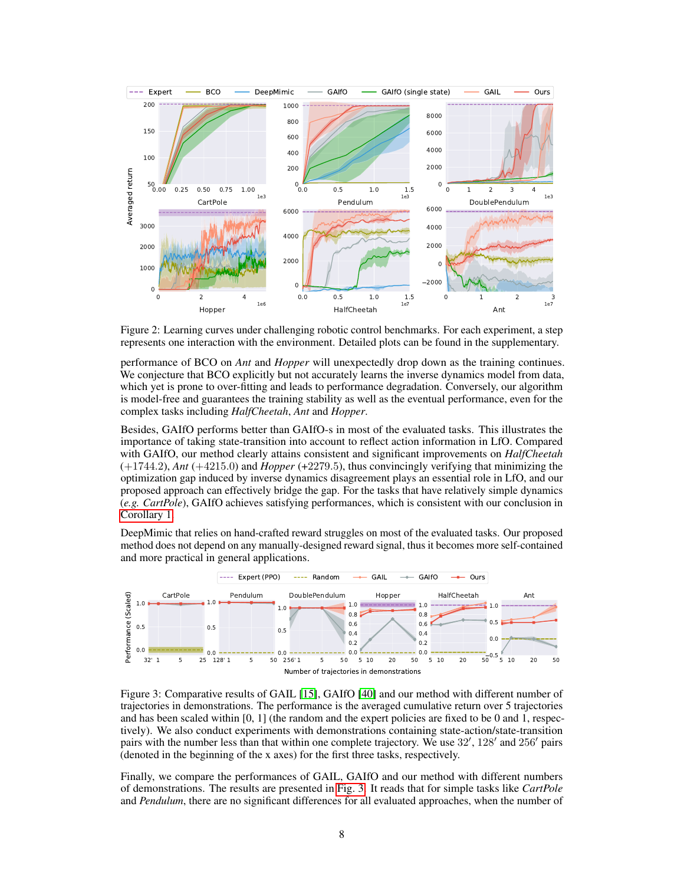

Figure 2: Learning curves under challenging robotic control benchmarks. For each experiment, a step represents one interaction with the environment. Detailed plots can be found in the supplementary.

performance of BCO on *Ant* and *Hopper* will unexpectedly drop down as the training continues. We conjecture that BCO explicitly but not accurately learns the inverse dynamics model from data, which yet is prone to over-fitting and leads to performance degradation. Conversely, our algorithm is model-free and guarantees the training stability as well as the eventual performance, even for the complex tasks including *HalfCheetah*, *Ant* and *Hopper*.

Besides, GAIfO performs better than GAIfO-s in most of the evaluated tasks. This illustrates the importance of taking state-transition into account to reflect action information in LfO. Compared with GAIfO, our method clearly attains consistent and significant improvements on *HalfCheetah* (+1744.2), *Ant* (+4215.0) and *Hopper* (+2279.5), thus convincingly verifying that minimizing the optimization gap induced by inverse dynamics disagreement plays an essential role in LfO, and our proposed approach can effectively bridge the gap. For the tasks that have relatively simple dynamics (*e.g. CartPole*), GAIfO achieves satisfying performances, which is consistent with our conclusion in Corollary 1.

DeepMimic that relies on hand-crafted reward struggles on most of the evaluated tasks. Our proposed method does not depend on any manually-designed reward signal, thus it becomes more self-contained and more practical in general applications.



Figure 3: Comparative results of GAIL [15], GAIfO [40] and our method with different number of trajectories in demonstrations. The performance is the averaged cumulative return over 5 trajectories and has been scaled within [0, 1] (the random and the expert policies are fixed to be 0 and 1, respectively). We also conduct experiments with demonstrations containing state-action/state-transition pairs with the number less than that within one complete trajectory. We use 32', 128' and 256' pairs (denoted in the beginning of the x axes) for the first three tasks, respectively.

Finally, we compare the performances of GAIL, GAIfO and our method with different numbers of demonstrations. The results are presented in Fig. 3. It reads that for simple tasks like *CartPole* and *Pendulum*, there are no significant differences for all evaluated approaches, when the number of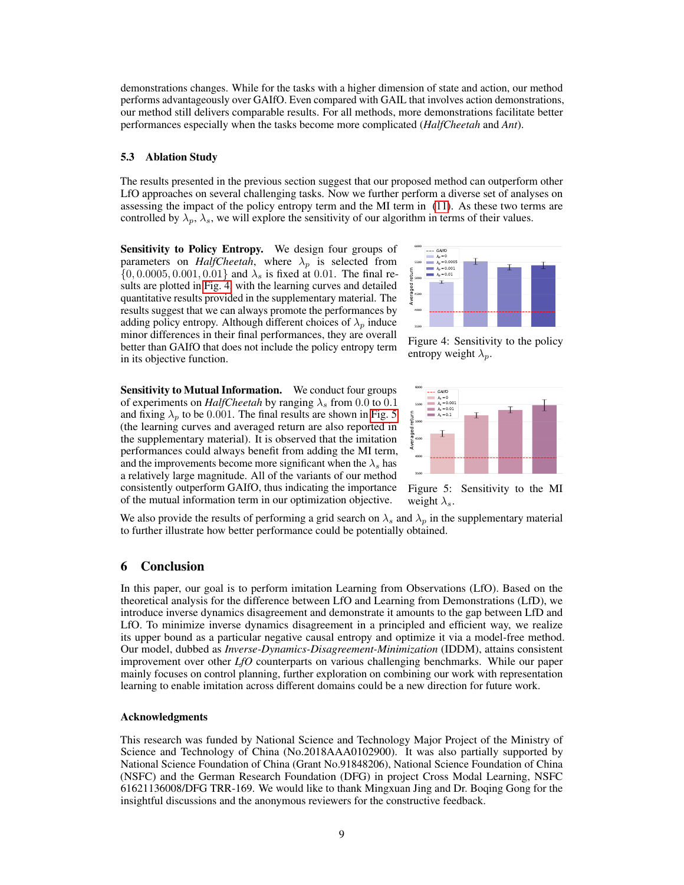demonstrations changes. While for the tasks with a higher dimension of state and action, our method performs advantageously over GAIfO. Even compared with GAIL that involves action demonstrations, our method still delivers comparable results. For all methods, more demonstrations facilitate better performances especially when the tasks become more complicated (*HalfCheetah* and *Ant*).

#### 5.3 Ablation Study

The results presented in the previous section suggest that our proposed method can outperform other LfO approaches on several challenging tasks. Now we further perform a diverse set of analyses on assessing the impact of the policy entropy term and the MI term in (11). As these two terms are controlled by  $\lambda_p$ ,  $\lambda_s$ , we will explore the sensitivity of our algorithm in terms of their values.

Sensitivity to Policy Entropy. We design four groups of parameters on *HalfCheetah*, where  $\lambda_n$  is selected from  $\{0, 0.0005, 0.001, 0.01\}$  and  $\lambda_s$  is fixed at 0.01. The final results are plotted in Fig. 4, with the learning curves and detailed quantitative results provided in the supplementary material. The results suggest that we can always promote the performances by adding policy entropy. Although different choices of  $\lambda_p$  induce minor differences in their final performances, they are overall better than GAIfO that does not include the policy entropy term in its objective function.

Sensitivity to Mutual Information. We conduct four groups of experiments on *HalfCheetah* by ranging  $\lambda_s$  from 0.0 to 0.1 and fixing  $\lambda_p$  to be 0.001. The final results are shown in Fig. 5 (the learning curves and averaged return are also reported in the supplementary material). It is observed that the imitation performances could always benefit from adding the MI term, and the improvements become more significant when the  $\lambda_s$  has a relatively large magnitude. All of the variants of our method consistently outperform GAIfO, thus indicating the importance of the mutual information term in our optimization objective.



Figure 4: Sensitivity to the policy entropy weight  $\lambda_p$ .



Figure 5: Sensitivity to the MI weight  $\lambda_s$ .

We also provide the results of performing a grid search on  $\lambda_s$  and  $\lambda_p$  in the supplementary material to further illustrate how better performance could be potentially obtained.

## 6 Conclusion

In this paper, our goal is to perform imitation Learning from Observations (LfO). Based on the theoretical analysis for the difference between LfO and Learning from Demonstrations (LfD), we introduce inverse dynamics disagreement and demonstrate it amounts to the gap between LfD and LfO. To minimize inverse dynamics disagreement in a principled and efficient way, we realize its upper bound as a particular negative causal entropy and optimize it via a model-free method. Our model, dubbed as *Inverse-Dynamics-Disagreement-Minimization* (IDDM), attains consistent improvement over other *LfO* counterparts on various challenging benchmarks. While our paper mainly focuses on control planning, further exploration on combining our work with representation learning to enable imitation across different domains could be a new direction for future work.

#### Acknowledgments

This research was funded by National Science and Technology Major Project of the Ministry of Science and Technology of China (No.2018AAA0102900). It was also partially supported by National Science Foundation of China (Grant No.91848206), National Science Foundation of China (NSFC) and the German Research Foundation (DFG) in project Cross Modal Learning, NSFC 61621136008/DFG TRR-169. We would like to thank Mingxuan Jing and Dr. Boqing Gong for the insightful discussions and the anonymous reviewers for the constructive feedback.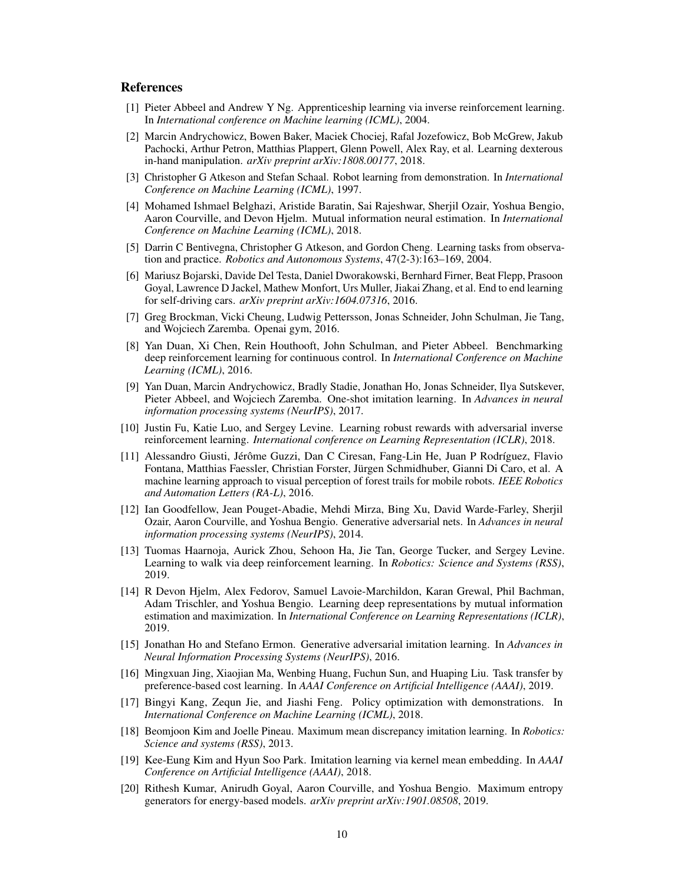## References

- [1] Pieter Abbeel and Andrew Y Ng. Apprenticeship learning via inverse reinforcement learning. In *International conference on Machine learning (ICML)*, 2004.
- [2] Marcin Andrychowicz, Bowen Baker, Maciek Chociej, Rafal Jozefowicz, Bob McGrew, Jakub Pachocki, Arthur Petron, Matthias Plappert, Glenn Powell, Alex Ray, et al. Learning dexterous in-hand manipulation. *arXiv preprint arXiv:1808.00177*, 2018.
- [3] Christopher G Atkeson and Stefan Schaal. Robot learning from demonstration. In *International Conference on Machine Learning (ICML)*, 1997.
- [4] Mohamed Ishmael Belghazi, Aristide Baratin, Sai Rajeshwar, Sherjil Ozair, Yoshua Bengio, Aaron Courville, and Devon Hjelm. Mutual information neural estimation. In *International Conference on Machine Learning (ICML)*, 2018.
- [5] Darrin C Bentivegna, Christopher G Atkeson, and Gordon Cheng. Learning tasks from observation and practice. *Robotics and Autonomous Systems*, 47(2-3):163–169, 2004.
- [6] Mariusz Bojarski, Davide Del Testa, Daniel Dworakowski, Bernhard Firner, Beat Flepp, Prasoon Goyal, Lawrence D Jackel, Mathew Monfort, Urs Muller, Jiakai Zhang, et al. End to end learning for self-driving cars. *arXiv preprint arXiv:1604.07316*, 2016.
- [7] Greg Brockman, Vicki Cheung, Ludwig Pettersson, Jonas Schneider, John Schulman, Jie Tang, and Wojciech Zaremba. Openai gym, 2016.
- [8] Yan Duan, Xi Chen, Rein Houthooft, John Schulman, and Pieter Abbeel. Benchmarking deep reinforcement learning for continuous control. In *International Conference on Machine Learning (ICML)*, 2016.
- [9] Yan Duan, Marcin Andrychowicz, Bradly Stadie, Jonathan Ho, Jonas Schneider, Ilya Sutskever, Pieter Abbeel, and Wojciech Zaremba. One-shot imitation learning. In *Advances in neural information processing systems (NeurIPS)*, 2017.
- [10] Justin Fu, Katie Luo, and Sergey Levine. Learning robust rewards with adversarial inverse reinforcement learning. *International conference on Learning Representation (ICLR)*, 2018.
- [11] Alessandro Giusti, Jérôme Guzzi, Dan C Ciresan, Fang-Lin He, Juan P Rodríguez, Flavio Fontana, Matthias Faessler, Christian Forster, Jürgen Schmidhuber, Gianni Di Caro, et al. A machine learning approach to visual perception of forest trails for mobile robots. *IEEE Robotics and Automation Letters (RA-L)*, 2016.
- [12] Ian Goodfellow, Jean Pouget-Abadie, Mehdi Mirza, Bing Xu, David Warde-Farley, Sherjil Ozair, Aaron Courville, and Yoshua Bengio. Generative adversarial nets. In *Advances in neural information processing systems (NeurIPS)*, 2014.
- [13] Tuomas Haarnoja, Aurick Zhou, Sehoon Ha, Jie Tan, George Tucker, and Sergey Levine. Learning to walk via deep reinforcement learning. In *Robotics: Science and Systems (RSS)*, 2019.
- [14] R Devon Hjelm, Alex Fedorov, Samuel Lavoie-Marchildon, Karan Grewal, Phil Bachman, Adam Trischler, and Yoshua Bengio. Learning deep representations by mutual information estimation and maximization. In *International Conference on Learning Representations (ICLR)*, 2019.
- [15] Jonathan Ho and Stefano Ermon. Generative adversarial imitation learning. In *Advances in Neural Information Processing Systems (NeurIPS)*, 2016.
- [16] Mingxuan Jing, Xiaojian Ma, Wenbing Huang, Fuchun Sun, and Huaping Liu. Task transfer by preference-based cost learning. In *AAAI Conference on Artificial Intelligence (AAAI)*, 2019.
- [17] Bingyi Kang, Zequn Jie, and Jiashi Feng. Policy optimization with demonstrations. In *International Conference on Machine Learning (ICML)*, 2018.
- [18] Beomjoon Kim and Joelle Pineau. Maximum mean discrepancy imitation learning. In *Robotics: Science and systems (RSS)*, 2013.
- [19] Kee-Eung Kim and Hyun Soo Park. Imitation learning via kernel mean embedding. In *AAAI Conference on Artificial Intelligence (AAAI)*, 2018.
- [20] Rithesh Kumar, Anirudh Goyal, Aaron Courville, and Yoshua Bengio. Maximum entropy generators for energy-based models. *arXiv preprint arXiv:1901.08508*, 2019.